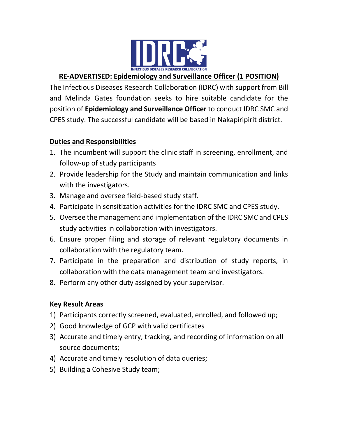

## **RE-ADVERTISED: Epidemiology and Surveillance Officer (1 POSITION)**

The Infectious Diseases Research Collaboration (IDRC) with support from Bill and Melinda Gates foundation seeks to hire suitable candidate for the position of **Epidemiology and Surveillance Officer** to conduct IDRC SMC and CPES study. The successful candidate will be based in Nakapiripirit district.

#### **Duties and Responsibilities**

- 1. The incumbent will support the clinic staff in screening, enrollment, and follow-up of study participants
- 2. Provide leadership for the Study and maintain communication and links with the investigators.
- 3. Manage and oversee field-based study staff.
- 4. Participate in sensitization activities for the IDRC SMC and CPES study.
- 5. Oversee the management and implementation of the IDRC SMC and CPES study activities in collaboration with investigators.
- 6. Ensure proper filing and storage of relevant regulatory documents in collaboration with the regulatory team.
- 7. Participate in the preparation and distribution of study reports, in collaboration with the data management team and investigators.
- 8. Perform any other duty assigned by your supervisor.

### **Key Result Areas**

- 1) Participants correctly screened, evaluated, enrolled, and followed up;
- 2) Good knowledge of GCP with valid certificates
- 3) Accurate and timely entry, tracking, and recording of information on all source documents;
- 4) Accurate and timely resolution of data queries;
- 5) Building a Cohesive Study team;